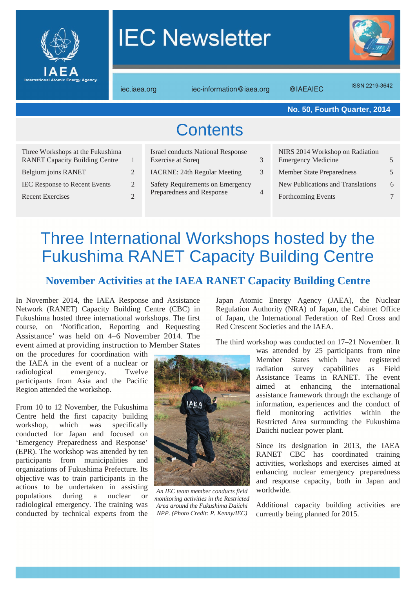

# **IEC Newsletter**



iec.iaea.org iec-information@iaea.org @IAEAIEC

**ISSN 2219-3642** 

|                                                                                                                                                                     |                          |                                                                                                                                                                       |                          | No. 50, Fourth Quarter, 2014                                                                                                                                |   |  |
|---------------------------------------------------------------------------------------------------------------------------------------------------------------------|--------------------------|-----------------------------------------------------------------------------------------------------------------------------------------------------------------------|--------------------------|-------------------------------------------------------------------------------------------------------------------------------------------------------------|---|--|
| <b>Contents</b>                                                                                                                                                     |                          |                                                                                                                                                                       |                          |                                                                                                                                                             |   |  |
| Three Workshops at the Fukushima<br><b>RANET Capacity Building Centre</b><br>Belgium joins RANET<br><b>IEC Response to Recent Events</b><br><b>Recent Exercises</b> | 2<br>2<br>$\overline{2}$ | <b>Israel conducts National Response</b><br>Exercise at Soreq<br><b>IACRNE: 24th Regular Meeting</b><br>Safety Requirements on Emergency<br>Preparedness and Response | 3<br>3<br>$\overline{4}$ | NIRS 2014 Workshop on Radiation<br><b>Emergency Medicine</b><br><b>Member State Preparedness</b><br>New Publications and Translations<br>Forthcoming Events | 6 |  |
|                                                                                                                                                                     |                          |                                                                                                                                                                       |                          |                                                                                                                                                             |   |  |

### Three International Workshops hosted by the Fukushima RANET Capacity Building Centre

### **November Activities at the IAEA RANET Capacity Building Centre**

In November 2014, the IAEA Response and Assistance Network (RANET) Capacity Building Centre (CBC) in Fukushima hosted three international workshops. The first course, on 'Notification, Reporting and Requesting Assistance' was held on 4–6 November 2014. The event aimed at providing instruction to Member States

on the procedures for coordination with the IAEA in the event of a nuclear or radiological emergency. Twelve participants from Asia and the Pacific Region attended the workshop.

From 10 to 12 November, the Fukushima Centre held the first capacity building workshop, which was specifically conducted for Japan and focused on 'Emergency Preparedness and Response' (EPR). The workshop was attended by ten participants from municipalities and organizations of Fukushima Prefecture. Its objective was to train participants in the actions to be undertaken in assisting populations during a nuclear or radiological emergency. The training was conducted by technical experts from the



*An IEC team member conducts field monitoring activities in the Restricted Area around the Fukushima Daiichi NPP. (Photo Credit: P. Kenny/IEC)*

Japan Atomic Energy Agency (JAEA), the Nuclear Regulation Authority (NRA) of Japan, the Cabinet Office of Japan, the International Federation of Red Cross and Red Crescent Societies and the IAEA.

The third workshop was conducted on 17–21 November. It

was attended by 25 participants from nine Member States which have registered radiation survey capabilities as Field Assistance Teams in RANET. The event aimed at enhancing the international assistance framework through the exchange of information, experiences and the conduct of field monitoring activities within the Restricted Area surrounding the Fukushima Daiichi nuclear power plant.

Since its designation in 2013, the IAEA RANET CBC has coordinated training activities, workshops and exercises aimed at enhancing nuclear emergency preparedness and response capacity, both in Japan and worldwide.

Additional capacity building activities are currently being planned for 2015.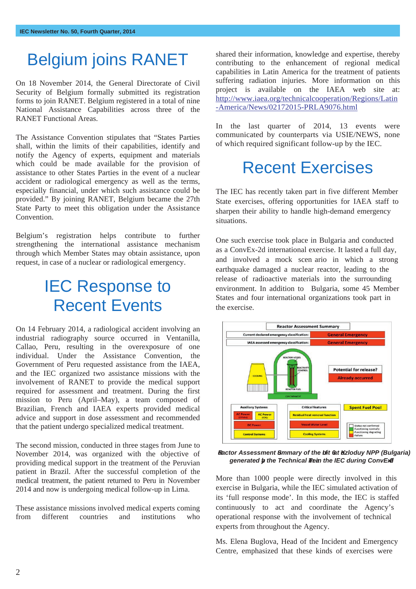### Belgium joins RANET

On 18 November 2014, the General Directorate of Civil Security of Belgium formally submitted its registration forms to join RANET. Belgium registered in a total of nine National Assistance Capabilities across three of the RANET Functional Areas.

The Assistance Convention stipulates that "States Parties shall, within the limits of their capabilities, identify and notify the Agency of experts, equipment and materials which could be made available for the provision of assistance to other States Parties in the event of a nuclear accident or radiological emergency as well as the terms, especially financial, under which such assistance could be provided." By joining RANET, Belgium became the 27th State Party to meet this obligation under the Assistance Convention.

Belgium's registration helps contribute to further strengthening the international assistance mechanism through which Member States may obtain assistance, upon request, in case of a nuclear or radiological emergency.

### IEC Response to Recent Events

On 14 February 2014, a radiological accident involving an industrial radiography source occurred in Ventanilla, Callao, Peru, resulting in the overexposure of one individual. Under the Assistance Convention, the Government of Peru requested assistance from the IAEA, and the IEC organized two assistance missions with the involvement of RANET to provide the medical support required for assessment and treatment. During the first mission to Peru (April–May), a team composed of Brazilian, French and IAEA experts provided medical advice and support in dose assessment and recommended that the patient undergo specialized medical treatment.

The second mission, conducted in three stages from June to November 2014, was organized with the objective of providing medical support in the treatment of the Peruvian patient in Brazil. After the successful completion of the medical treatment, the patient returned to Peru in November 2014 and now is undergoing medical follow-up in Lima.

These assistance missions involved medical experts coming from different countries and institutions who

shared their information, knowledge and expertise, thereby contributing to the enhancement of regional medical capabilities in Latin America for the treatment of patients suffering radiation injuries. More information on this project is available on the IAEA web site at: http://www.iaea.org/technicalcooperation/Regions/Latin -America/News/02172015-PRLA9076.html

In the last quarter of 2014, 13 events were communicated by counterparts via USIE/NEWS, none of which required significant follow-up by the IEC.

## Recent Exercises

The IEC has recently taken part in five different Member State exercises, offering opportunities for IAEA staff to sharpen their ability to handle high-demand emergency situations.

One such exercise took place in Bulgaria and conducted as a ConvEx-2d international exercise. It lasted a full day, and involved a mock scen ario in which a strong earthquake damaged a nuclear reactor, leading to the release of radioactive materials into the surrounding environment. In addition to Bulgaria, some 45 Member States and four international organizations took part in the exercise.



*Reactor Assessment Summary of the Unit 6 at Kozloduy NPP (Bulgaria) generated by the Technical Team in the IEC during ConvEx-2d* 

More than 1000 people were directly involved in this exercise in Bulgaria, while the IEC simulated activation of its 'full response mode'. In this mode, the IEC is staffed continuously to act and coordinate the Agency's operational response with the involvement of technical experts from throughout the Agency.

Ms. Elena Buglova, Head of the Incident and Emergency Centre, emphasized that these kinds of exercises were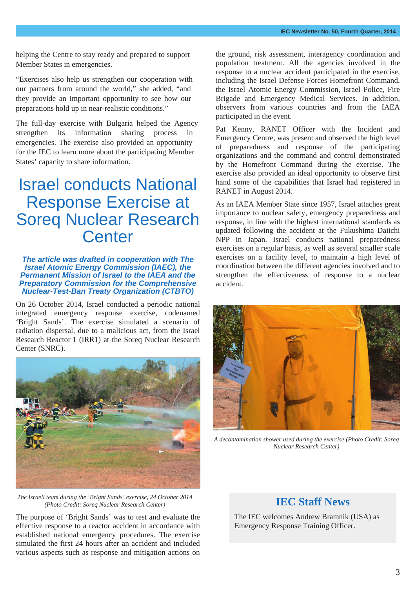helping the Centre to stay ready and prepared to support Member States in emergencies.

"Exercises also help us strengthen our cooperation with our partners from around the world," she added, "and they provide an important opportunity to see how our preparations hold up in near-realistic conditions."

The full-day exercise with Bulgaria helped the Agency strengthen its information sharing process in emergencies. The exercise also provided an opportunity for the IEC to learn more about the participating Member States' capacity to share information.

### Israel conducts National Response Exercise at Soreq Nuclear Research **Center**

#### *The article was drafted in cooperation with The Israel Atomic Energy Commission (IAEC), the Permanent Mission of Israel to the IAEA and the Preparatory Commission for the Comprehensive Nuclear-Test-Ban Treaty Organization (CTBTO)*

On 26 October 2014, Israel conducted a periodic national integrated emergency response exercise, codenamed 'Bright Sands'. The exercise simulated a scenario of radiation dispersal, due to a malicious act, from the Israel Research Reactor 1 (IRR1) at the Soreq Nuclear Research Center (SNRC).



*The Israeli team during the 'Bright Sands' exercise, 24 October 2014 (Photo Credit: Soreq Nuclear Research Center)* **IEC Staff News** 

The purpose of 'Bright Sands' was to test and evaluate the effective response to a reactor accident in accordance with established national emergency procedures. The exercise simulated the first 24 hours after an accident and included various aspects such as response and mitigation actions on

the ground, risk assessment, interagency coordination and population treatment. All the agencies involved in the response to a nuclear accident participated in the exercise, including the Israel Defense Forces Homefront Command, the Israel Atomic Energy Commission, Israel Police, Fire Brigade and Emergency Medical Services. In addition, observers from various countries and from the IAEA participated in the event.

Pat Kenny, RANET Officer with the Incident and Emergency Centre, was present and observed the high level of preparedness and response of the participating organizations and the command and control demonstrated by the Homefront Command during the exercise. The exercise also provided an ideal opportunity to observe first hand some of the capabilities that Israel had registered in RANET in August 2014.

As an IAEA Member State since 1957, Israel attaches great importance to nuclear safety, emergency preparedness and response, in line with the highest international standards as updated following the accident at the Fukushima Daiichi NPP in Japan. Israel conducts national preparedness exercises on a regular basis, as well as several smaller scale exercises on a facility level, to maintain a high level of coordination between the different agencies involved and to strengthen the effectiveness of response to a nuclear accident.



*A decontamination shower used during the exercise (Photo Credit: Soreq Nuclear Research Center)*

The IEC welcomes Andrew Bramnik (USA) as Emergency Response Training Officer.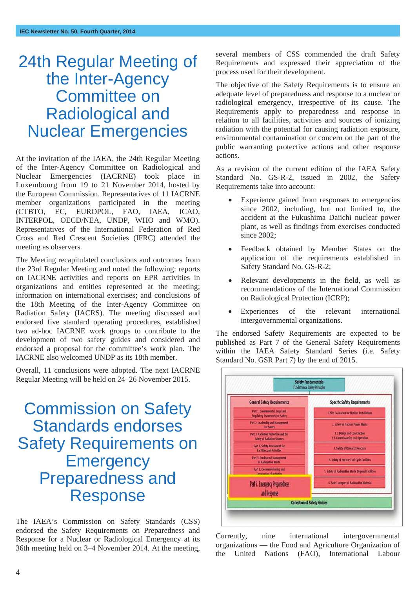### 24th Regular Meeting of the Inter-Agency Committee on Radiological and Nuclear Emergencies

At the invitation of the IAEA, the 24th Regular Meeting of the Inter-Agency Committee on Radiological and Nuclear Emergencies (IACRNE) took place in Luxembourg from 19 to 21 November 2014, hosted by the European Commission. Representatives of 11 IACRNE member organizations participated in the meeting (CTBTO, EC, EUROPOL, FAO, IAEA, ICAO, INTERPOL, OECD/NEA, UNDP, WHO and WMO). Representatives of the International Federation of Red Cross and Red Crescent Societies (IFRC) attended the meeting as observers.

The Meeting recapitulated conclusions and outcomes from the 23rd Regular Meeting and noted the following: reports on IACRNE activities and reports on EPR activities in organizations and entities represented at the meeting; information on international exercises; and conclusions of the 18th Meeting of the Inter-Agency Committee on Radiation Safety (IACRS). The meeting discussed and endorsed five standard operating procedures, established two ad-hoc IACRNE work groups to contribute to the development of two safety guides and considered and endorsed a proposal for the committee's work plan. The IACRNE also welcomed UNDP as its 18th member.

Overall, 11 conclusions were adopted. The next IACRNE Regular Meeting will be held on 24–26 November 2015.

### Commission on Safety Standards endorses Safety Requirements on **Emergency** Preparedness and Response

The IAEA's Commission on Safety Standards (CSS) endorsed the Safety Requirements on Preparedness and Response for a Nuclear or Radiological Emergency at its 36th meeting held on 3–4 November 2014. At the meeting, several members of CSS commended the draft Safety Requirements and expressed their appreciation of the process used for their development.

The objective of the Safety Requirements is to ensure an adequate level of preparedness and response to a nuclear or radiological emergency, irrespective of its cause. The Requirements apply to preparedness and response in relation to all facilities, activities and sources of ionizing radiation with the potential for causing radiation exposure, environmental contamination or concern on the part of the public warranting protective actions and other response actions.

As a revision of the current edition of the IAEA Safety Standard No. GS-R-2, issued in 2002, the Safety Requirements take into account:

- Experience gained from responses to emergencies since 2002, including, but not limited to, the accident at the Fukushima Daiichi nuclear power plant, as well as findings from exercises conducted since 2002:
- Feedback obtained by Member States on the application of the requirements established in Safety Standard No. GS-R-2;
- Relevant developments in the field, as well as recommendations of the International Commission on Radiological Protection (ICRP);
- Experiences of the relevant international intergovernmental organizations.

The endorsed Safety Requirements are expected to be published as Part 7 of the General Safety Requirements within the IAEA Safety Standard Series (i.e. Safety Standard No. GSR Part 7) by the end of 2015.



Currently, nine international intergovernmental organizations — the Food and Agriculture Organization of the United Nations (FAO), International Labour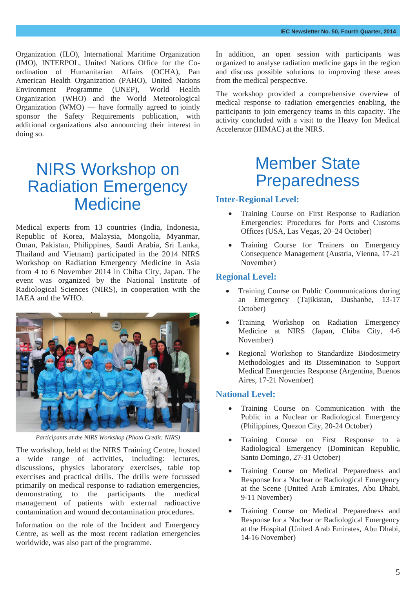Organization (ILO), International Maritime Organization (IMO), INTERPOL, United Nations Office for the Coordination of Humanitarian Affairs (OCHA), Pan American Health Organization (PAHO), United Nations Environment Programme (UNEP), World Health Organization (WHO) and the World Meteorological Organization (WMO) — have formally agreed to jointly sponsor the Safety Requirements publication, with additional organizations also announcing their interest in doing so.

### NIRS Workshop on Radiation Emergency **Medicine**

Medical experts from 13 countries (India, Indonesia, Republic of Korea, Malaysia, Mongolia, Myanmar, Oman, Pakistan, Philippines, Saudi Arabia, Sri Lanka, Thailand and Vietnam) participated in the 2014 NIRS Workshop on Radiation Emergency Medicine in Asia from 4 to 6 November 2014 in Chiba City, Japan. The event was organized by the National Institute of Radiological Sciences (NIRS), in cooperation with the IAEA and the WHO.



*Participants at the NIRS Workshop (Photo Credit: NIRS)*

The workshop, held at the NIRS Training Centre, hosted a wide range of activities, including: lectures, discussions, physics laboratory exercises, table top exercises and practical drills. The drills were focussed primarily on medical response to radiation emergencies, demonstrating to the participants the medical management of patients with external radioactive contamination and wound decontamination procedures.

Information on the role of the Incident and Emergency Centre, as well as the most recent radiation emergencies worldwide, was also part of the programme.

In addition, an open session with participants was organized to analyse radiation medicine gaps in the region and discuss possible solutions to improving these areas from the medical perspective.

The workshop provided a comprehensive overview of medical response to radiation emergencies enabling, the participants to join emergency teams in this capacity. The activity concluded with a visit to the Heavy Ion Medical Accelerator (HIMAC) at the NIRS.

### Member State Preparedness

#### **Inter-Regional Level:**

- x Training Course on First Response to Radiation Emergencies: Procedures for Ports and Customs Offices (USA, Las Vegas, 20–24 October)
- Training Course for Trainers on Emergency Consequence Management (Austria, Vienna, 17-21 November)

#### **Regional Level:**

- Training Course on Public Communications during an Emergency (Tajikistan, Dushanbe, 13-17 October)
- x Training Workshop on Radiation Emergency Medicine at NIRS (Japan, Chiba City, 4-6 November)
- x Regional Workshop to Standardize Biodosimetry Methodologies and its Dissemination to Support Medical Emergencies Response (Argentina, Buenos Aires, 17-21 November)

#### **National Level:**

- Training Course on Communication with the Public in a Nuclear or Radiological Emergency (Philippines, Quezon City, 20-24 October)
- x Training Course on First Response to a Radiological Emergency (Dominican Republic, Santo Domingo, 27-31 October)
- x Training Course on Medical Preparedness and Response for a Nuclear or Radiological Emergency at the Scene (United Arab Emirates, Abu Dhabi, 9-11 November)
- x Training Course on Medical Preparedness and Response for a Nuclear or Radiological Emergency at the Hospital (United Arab Emirates, Abu Dhabi, 14-16 November)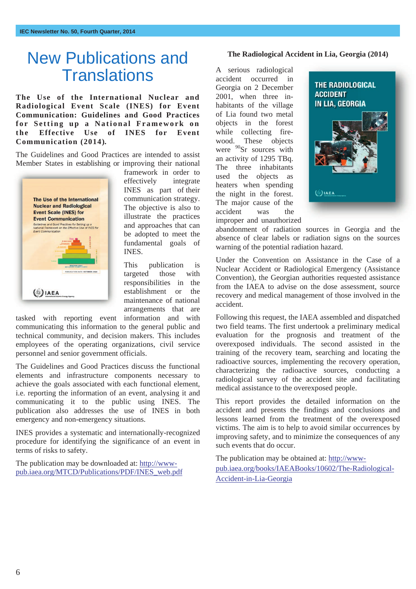### New Publications and **Translations**

**The Use of the International Nuclear and Radiological Event Scale (INES) for Event Communication: Guidelines and Good Practices for Setting up a National Framework on the Effective Use of INES for Event Communication (2014).** 

The Guidelines and Good Practices are intended to assist Member States in establishing or improving their national



framework in order to effectively integrate INES as part of their communication strategy. The objective is also to illustrate the practices and approaches that can be adopted to meet the fundamental goals of INES.

This publication is targeted those with responsibilities in the establishment or the maintenance of national arrangements that are

tasked with reporting event information and with communicating this information to the general public and technical community, and decision makers. This includes employees of the operating organizations, civil service personnel and senior government officials.

The Guidelines and Good Practices discuss the functional elements and infrastructure components necessary to achieve the goals associated with each functional element, i.e. reporting the information of an event, analysing it and communicating it to the public using INES. The publication also addresses the use of INES in both emergency and non-emergency situations.

INES provides a systematic and internationally-recognized procedure for identifying the significance of an event in terms of risks to safety.

The publication may be downloaded at: http://wwwpub.iaea.org/MTCD/Publications/PDF/INES\_web.pdf

#### **The Radiological Accident in Lia, Georgia (2014)**

A serious radiological accident occurred in Georgia on 2 December 2001, when three inhabitants of the village of Lia found two metal objects in the forest while collecting firewood. These objects were  $90$ Sr sources with an activity of 1295 TBq. The three inhabitants used the objects as heaters when spending the night in the forest. The major cause of the accident was the improper and unauthorized



abandonment of radiation sources in Georgia and the absence of clear labels or radiation signs on the sources warning of the potential radiation hazard.

Under the Convention on Assistance in the Case of a Nuclear Accident or Radiological Emergency (Assistance Convention), the Georgian authorities requested assistance from the IAEA to advise on the dose assessment, source recovery and medical management of those involved in the accident.

Following this request, the IAEA assembled and dispatched two field teams. The first undertook a preliminary medical evaluation for the prognosis and treatment of the overexposed individuals. The second assisted in the training of the recovery team, searching and locating the radioactive sources, implementing the recovery operation, characterizing the radioactive sources, conducting a radiological survey of the accident site and facilitating medical assistance to the overexposed people.

This report provides the detailed information on the accident and presents the findings and conclusions and lessons learned from the treatment of the overexposed victims. The aim is to help to avoid similar occurrences by improving safety, and to minimize the consequences of any such events that do occur.

The publication may be obtained at: http://wwwpub.iaea.org/books/IAEABooks/10602/The-Radiological-Accident-in-Lia-Georgia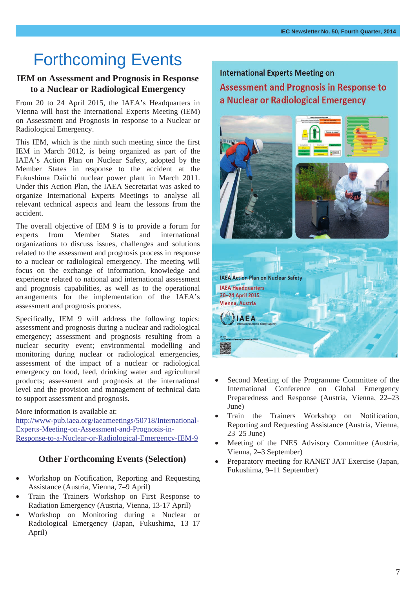### Forthcoming Events

#### **IEM on Assessment and Prognosis in Response to a Nuclear or Radiological Emergency**

From 20 to 24 April 2015, the IAEA's Headquarters in Vienna will host the International Experts Meeting (IEM) on Assessment and Prognosis in response to a Nuclear or Radiological Emergency.

This IEM, which is the ninth such meeting since the first IEM in March 2012, is being organized as part of the IAEA's Action Plan on Nuclear Safety, adopted by the Member States in response to the accident at the Fukushima Daiichi nuclear power plant in March 2011. Under this Action Plan, the IAEA Secretariat was asked to organize International Experts Meetings to analyse all relevant technical aspects and learn the lessons from the accident.

The overall objective of IEM 9 is to provide a forum for experts from Member States and international organizations to discuss issues, challenges and solutions related to the assessment and prognosis process in response to a nuclear or radiological emergency. The meeting will focus on the exchange of information, knowledge and experience related to national and international assessment and prognosis capabilities, as well as to the operational arrangements for the implementation of the IAEA's assessment and prognosis process.

Specifically, IEM 9 will address the following topics: assessment and prognosis during a nuclear and radiological emergency; assessment and prognosis resulting from a nuclear security event; environmental modelling and monitoring during nuclear or radiological emergencies, assessment of the impact of a nuclear or radiological emergency on food, feed, drinking water and agricultural products; assessment and prognosis at the international level and the provision and management of technical data to support assessment and prognosis.

More information is available at: http://www-pub.iaea.org/iaeameetings/50718/International-Experts-Meeting-on-Assessment-and-Prognosis-in-Response-to-a-Nuclear-or-Radiological-Emergency-IEM-9

#### **Other Forthcoming Events (Selection)**

- x Workshop on Notification, Reporting and Requesting Assistance (Austria, Vienna, 7–9 April)
- Train the Trainers Workshop on First Response to Radiation Emergency (Austria, Vienna, 13-17 April)
- x Workshop on Monitoring during a Nuclear or Radiological Emergency (Japan, Fukushima, 13–17 April)

**International Experts Meeting on Assessment and Prognosis in Response to** a Nuclear or Radiological Emergency



- Second Meeting of the Programme Committee of the International Conference on Global Emergency Preparedness and Response (Austria, Vienna, 22–23 June)
- Train the Trainers Workshop on Notification, Reporting and Requesting Assistance (Austria, Vienna, 23–25 June)
- Meeting of the INES Advisory Committee (Austria, Vienna, 2–3 September)
- Preparatory meeting for RANET JAT Exercise (Japan, Fukushima, 9–11 September)